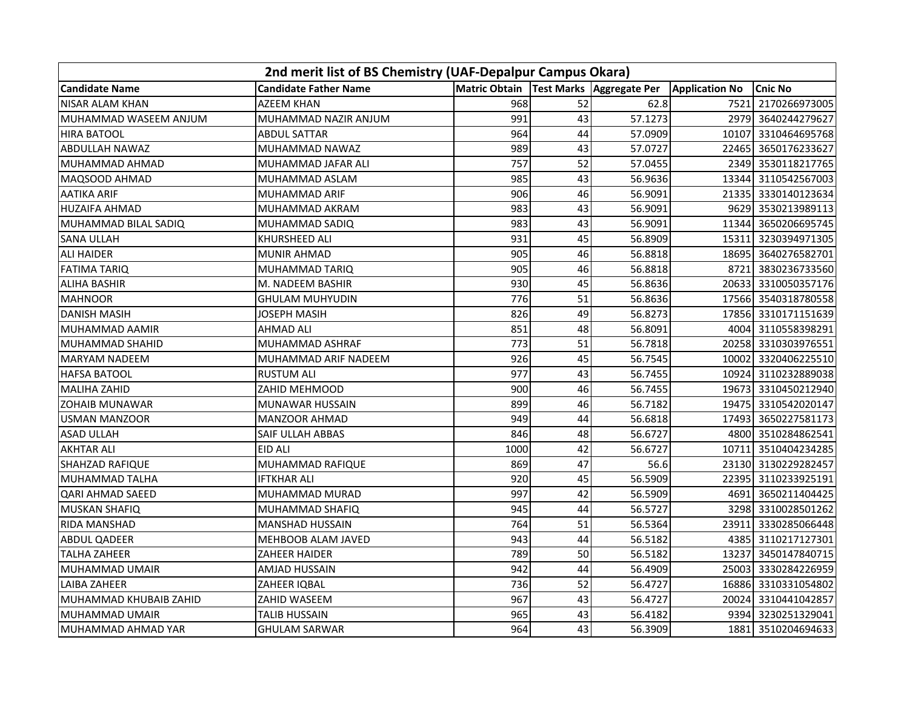| 2nd merit list of BS Chemistry (UAF-Depalpur Campus Okara) |                              |                      |    |                            |                       |                     |
|------------------------------------------------------------|------------------------------|----------------------|----|----------------------------|-----------------------|---------------------|
| <b>Candidate Name</b>                                      | <b>Candidate Father Name</b> | <b>Matric Obtain</b> |    | Test Marks   Aggregate Per | <b>Application No</b> | <b>Cnic No</b>      |
| <b>NISAR ALAM KHAN</b>                                     | <b>AZEEM KHAN</b>            | 968                  | 52 | 62.8                       | 7521                  | 2170266973005       |
| MUHAMMAD WASEEM ANJUM                                      | MUHAMMAD NAZIR ANJUM         | 991                  | 43 | 57.1273                    |                       | 2979 3640244279627  |
| <b>HIRA BATOOL</b>                                         | <b>ABDUL SATTAR</b>          | 964                  | 44 | 57.0909                    | 10107                 | 3310464695768       |
| ABDULLAH NAWAZ                                             | MUHAMMAD NAWAZ               | 989                  | 43 | 57.0727                    | 22465                 | 3650176233627       |
| MUHAMMAD AHMAD                                             | MUHAMMAD JAFAR ALI           | 757                  | 52 | 57.0455                    |                       | 2349 3530118217765  |
| MAQSOOD AHMAD                                              | MUHAMMAD ASLAM               | 985                  | 43 | 56.9636                    |                       | 13344 3110542567003 |
| AATIKA ARIF                                                | MUHAMMAD ARIF                | 906                  | 46 | 56.9091                    |                       | 21335 3330140123634 |
| <b>HUZAIFA AHMAD</b>                                       | MUHAMMAD AKRAM               | 983                  | 43 | 56.9091                    |                       | 9629 3530213989113  |
| MUHAMMAD BILAL SADIQ                                       | MUHAMMAD SADIQ               | 983                  | 43 | 56.9091                    | 11344                 | 3650206695745       |
| <b>SANA ULLAH</b>                                          | KHURSHEED ALI                | 931                  | 45 | 56.8909                    | 15311                 | 3230394971305       |
| <b>ALI HAIDER</b>                                          | <b>MUNIR AHMAD</b>           | 905                  | 46 | 56.8818                    |                       | 18695 3640276582701 |
| <b>FATIMA TARIQ</b>                                        | MUHAMMAD TARIQ               | 905                  | 46 | 56.8818                    | 8721                  | 3830236733560       |
| <b>ALIHA BASHIR</b>                                        | M. NADEEM BASHIR             | 930                  | 45 | 56.8636                    |                       | 20633 3310050357176 |
| <b>MAHNOOR</b>                                             | <b>GHULAM MUHYUDIN</b>       | 776                  | 51 | 56.8636                    |                       | 17566 3540318780558 |
| <b>DANISH MASIH</b>                                        | JOSEPH MASIH                 | 826                  | 49 | 56.8273                    |                       | 17856 3310171151639 |
| MUHAMMAD AAMIR                                             | AHMAD ALI                    | 851                  | 48 | 56.8091                    | 4004                  | 3110558398291       |
| MUHAMMAD SHAHID                                            | MUHAMMAD ASHRAF              | 773                  | 51 | 56.7818                    |                       | 20258 3310303976551 |
| MARYAM NADEEM                                              | MUHAMMAD ARIF NADEEM         | 926                  | 45 | 56.7545                    | 10002                 | 3320406225510       |
| <b>HAFSA BATOOL</b>                                        | <b>RUSTUM ALI</b>            | 977                  | 43 | 56.7455                    | 10924                 | 3110232889038       |
| <b>MALIHA ZAHID</b>                                        | ZAHID MEHMOOD                | 900                  | 46 | 56.7455                    | 19673                 | 3310450212940       |
| <b>ZOHAIB MUNAWAR</b>                                      | <b>MUNAWAR HUSSAIN</b>       | 899                  | 46 | 56.7182                    | 19475                 | 3310542020147       |
| <b>USMAN MANZOOR</b>                                       | MANZOOR AHMAD                | 949                  | 44 | 56.6818                    |                       | 17493 3650227581173 |
| <b>ASAD ULLAH</b>                                          | SAIF ULLAH ABBAS             | 846                  | 48 | 56.6727                    |                       | 4800 3510284862541  |
| <b>AKHTAR ALI</b>                                          | EID ALI                      | 1000                 | 42 | 56.6727                    | 10711                 | 3510404234285       |
| SHAHZAD RAFIQUE                                            | MUHAMMAD RAFIQUE             | 869                  | 47 | 56.6                       |                       | 23130 3130229282457 |
| MUHAMMAD TALHA                                             | IFTKHAR ALI                  | 920                  | 45 | 56.5909                    | 22395                 | 3110233925191       |
| QARI AHMAD SAEED                                           | MUHAMMAD MURAD               | 997                  | 42 | 56.5909                    | 4691                  | 3650211404425       |
| <b>MUSKAN SHAFIQ</b>                                       | MUHAMMAD SHAFIQ              | 945                  | 44 | 56.5727                    | 3298                  | 3310028501262       |
| RIDA MANSHAD                                               | <b>MANSHAD HUSSAIN</b>       | 764                  | 51 | 56.5364                    | 23911                 | 3330285066448       |
| ABDUL QADEER                                               | MEHBOOB ALAM JAVED           | 943                  | 44 | 56.5182                    |                       | 4385 3110217127301  |
| <b>TALHA ZAHEER</b>                                        | ZAHEER HAIDER                | 789                  | 50 | 56.5182                    | 13237                 | 3450147840715       |
| MUHAMMAD UMAIR                                             | AMJAD HUSSAIN                | 942                  | 44 | 56.4909                    |                       | 25003 3330284226959 |
| LAIBA ZAHEER                                               | ZAHEER IQBAL                 | 736                  | 52 | 56.4727                    |                       | 16886 3310331054802 |
| MUHAMMAD KHUBAIB ZAHID                                     | ZAHID WASEEM                 | 967                  | 43 | 56.4727                    | 20024                 | 3310441042857       |
| MUHAMMAD UMAIR                                             | <b>TALIB HUSSAIN</b>         | 965                  | 43 | 56.4182                    | 9394                  | 3230251329041       |
| MUHAMMAD AHMAD YAR                                         | <b>GHULAM SARWAR</b>         | 964                  | 43 | 56.3909                    |                       | 1881 3510204694633  |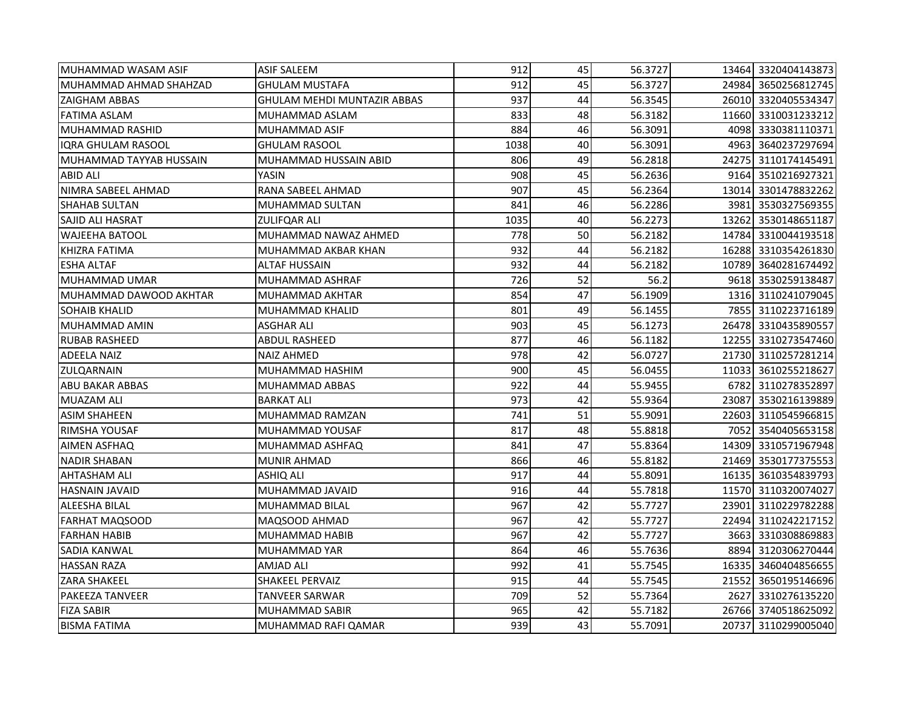| MUHAMMAD WASAM ASIF     | <b>ASIF SALEEM</b>                 | 912  | 45 | 56.3727 |       | 13464 3320404143873 |
|-------------------------|------------------------------------|------|----|---------|-------|---------------------|
| MUHAMMAD AHMAD SHAHZAD  | <b>GHULAM MUSTAFA</b>              | 912  | 45 | 56.3727 |       | 24984 3650256812745 |
| <b>ZAIGHAM ABBAS</b>    | <b>GHULAM MEHDI MUNTAZIR ABBAS</b> | 937  | 44 | 56.3545 |       | 26010 3320405534347 |
| <b>FATIMA ASLAM</b>     | MUHAMMAD ASLAM                     | 833  | 48 | 56.3182 |       | 11660 3310031233212 |
| <b>MUHAMMAD RASHID</b>  | MUHAMMAD ASIF                      | 884  | 46 | 56.3091 |       | 4098 3330381110371  |
| IQRA GHULAM RASOOL      | <b>GHULAM RASOOL</b>               | 1038 | 40 | 56.3091 |       | 4963 3640237297694  |
| MUHAMMAD TAYYAB HUSSAIN | MUHAMMAD HUSSAIN ABID              | 806  | 49 | 56.2818 |       | 24275 3110174145491 |
| <b>ABID ALI</b>         | YASIN                              | 908  | 45 | 56.2636 |       | 9164 3510216927321  |
| NIMRA SABEEL AHMAD      | RANA SABEEL AHMAD                  | 907  | 45 | 56.2364 |       | 13014 3301478832262 |
| <b>SHAHAB SULTAN</b>    | MUHAMMAD SULTAN                    | 841  | 46 | 56.2286 |       | 3981 3530327569355  |
| <b>SAJID ALI HASRAT</b> | <b>ZULIFQAR ALI</b>                | 1035 | 40 | 56.2273 |       | 13262 3530148651187 |
| <b>WAJEEHA BATOOL</b>   | MUHAMMAD NAWAZ AHMED               | 778  | 50 | 56.2182 |       | 14784 3310044193518 |
| <b>KHIZRA FATIMA</b>    | MUHAMMAD AKBAR KHAN                | 932  | 44 | 56.2182 |       | 16288 3310354261830 |
| <b>ESHA ALTAF</b>       | <b>ALTAF HUSSAIN</b>               | 932  | 44 | 56.2182 |       | 10789 3640281674492 |
| MUHAMMAD UMAR           | <b>MUHAMMAD ASHRAF</b>             | 726  | 52 | 56.2    |       | 9618 3530259138487  |
| MUHAMMAD DAWOOD AKHTAR  | MUHAMMAD AKHTAR                    | 854  | 47 | 56.1909 |       | 1316 3110241079045  |
| <b>SOHAIB KHALID</b>    | <b>MUHAMMAD KHALID</b>             | 801  | 49 | 56.1455 |       | 7855 3110223716189  |
| MUHAMMAD AMIN           | <b>ASGHAR ALI</b>                  | 903  | 45 | 56.1273 |       | 26478 3310435890557 |
| <b>RUBAB RASHEED</b>    | <b>ABDUL RASHEED</b>               | 877  | 46 | 56.1182 |       | 12255 3310273547460 |
| <b>ADEELA NAIZ</b>      | <b>NAIZ AHMED</b>                  | 978  | 42 | 56.0727 |       | 21730 3110257281214 |
| <b>ZULQARNAIN</b>       | MUHAMMAD HASHIM                    | 900  | 45 | 56.0455 |       | 11033 3610255218627 |
| ABU BAKAR ABBAS         | MUHAMMAD ABBAS                     | 922  | 44 | 55.9455 |       | 6782 3110278352897  |
| <b>MUAZAM ALI</b>       | <b>BARKAT ALI</b>                  | 973  | 42 | 55.9364 | 23087 | 3530216139889       |
| ASIM SHAHEEN            | MUHAMMAD RAMZAN                    | 741  | 51 | 55.9091 |       | 22603 3110545966815 |
| <b>RIMSHA YOUSAF</b>    | MUHAMMAD YOUSAF                    | 817  | 48 | 55.8818 |       | 7052 3540405653158  |
| AIMEN ASFHAQ            | MUHAMMAD ASHFAQ                    | 841  | 47 | 55.8364 |       | 14309 3310571967948 |
| <b>NADIR SHABAN</b>     | <b>MUNIR AHMAD</b>                 | 866  | 46 | 55.8182 |       | 21469 3530177375553 |
| <b>AHTASHAM ALI</b>     | ASHIQ ALI                          | 917  | 44 | 55.8091 |       | 16135 3610354839793 |
| <b>HASNAIN JAVAID</b>   | MUHAMMAD JAVAID                    | 916  | 44 | 55.7818 |       | 11570 3110320074027 |
| <b>ALEESHA BILAL</b>    | <b>MUHAMMAD BILAL</b>              | 967  | 42 | 55.7727 |       | 23901 3110229782288 |
| <b>FARHAT MAQSOOD</b>   | MAQSOOD AHMAD                      | 967  | 42 | 55.7727 |       | 22494 3110242217152 |
| IFARHAN HABIB           | MUHAMMAD HABIB                     | 967  | 42 | 55.7727 |       | 3663 3310308869883  |
| <b>SADIA KANWAL</b>     | MUHAMMAD YAR                       | 864  | 46 | 55.7636 |       | 8894 3120306270444  |
| <b>HASSAN RAZA</b>      | AMJAD ALI                          | 992  | 41 | 55.7545 |       | 16335 3460404856655 |
| <b>ZARA SHAKEEL</b>     | <b>SHAKEEL PERVAIZ</b>             | 915  | 44 | 55.7545 |       | 21552 3650195146696 |
| <b>PAKEEZA TANVEER</b>  | TANVEER SARWAR                     | 709  | 52 | 55.7364 |       | 2627 3310276135220  |
| <b>FIZA SABIR</b>       | MUHAMMAD SABIR                     | 965  | 42 | 55.7182 |       | 26766 3740518625092 |
| <b>BISMA FATIMA</b>     | MUHAMMAD RAFI QAMAR                | 939  | 43 | 55.7091 |       | 20737 3110299005040 |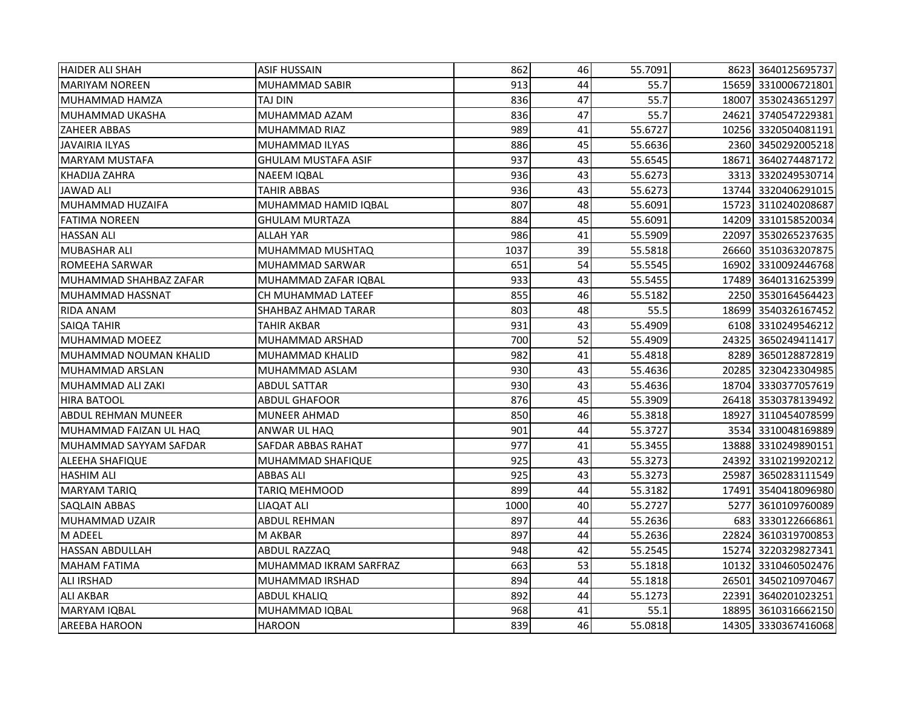| <b>HAIDER ALI SHAH</b> | <b>ASIF HUSSAIN</b>        | 862  | 46 | 55.7091 |       | 8623 3640125695737  |
|------------------------|----------------------------|------|----|---------|-------|---------------------|
| <b>MARIYAM NOREEN</b>  | MUHAMMAD SABIR             | 913  | 44 | 55.7    |       | 15659 3310006721801 |
| MUHAMMAD HAMZA         | TAJ DIN                    | 836  | 47 | 55.7    |       | 18007 3530243651297 |
| MUHAMMAD UKASHA        | MUHAMMAD AZAM              | 836  | 47 | 55.7    |       | 24621 3740547229381 |
| <b>ZAHEER ABBAS</b>    | MUHAMMAD RIAZ              | 989  | 41 | 55.6727 |       | 10256 3320504081191 |
| <b>JAVAIRIA ILYAS</b>  | MUHAMMAD ILYAS             | 886  | 45 | 55.6636 |       | 2360 3450292005218  |
| <b>MARYAM MUSTAFA</b>  | <b>GHULAM MUSTAFA ASIF</b> | 937  | 43 | 55.6545 |       | 18671 3640274487172 |
| KHADIJA ZAHRA          | <b>NAEEM IQBAL</b>         | 936  | 43 | 55.6273 |       | 3313 3320249530714  |
| <b>JAWAD ALI</b>       | TAHIR ABBAS                | 936  | 43 | 55.6273 |       | 13744 3320406291015 |
| MUHAMMAD HUZAIFA       | MUHAMMAD HAMID IQBAL       | 807  | 48 | 55.6091 |       | 15723 3110240208687 |
| <b>FATIMA NOREEN</b>   | <b>GHULAM MURTAZA</b>      | 884  | 45 | 55.6091 |       | 14209 3310158520034 |
| <b>HASSAN ALI</b>      | <b>ALLAH YAR</b>           | 986  | 41 | 55.5909 | 22097 | 3530265237635       |
| <b>MUBASHAR ALI</b>    | MUHAMMAD MUSHTAQ           | 1037 | 39 | 55.5818 |       | 26660 3510363207875 |
| <b>ROMEEHA SARWAR</b>  | MUHAMMAD SARWAR            | 651  | 54 | 55.5545 | 16902 | 3310092446768       |
| MUHAMMAD SHAHBAZ ZAFAR | MUHAMMAD ZAFAR IQBAL       | 933  | 43 | 55.5455 |       | 17489 3640131625399 |
| MUHAMMAD HASSNAT       | CH MUHAMMAD LATEEF         | 855  | 46 | 55.5182 |       | 2250 3530164564423  |
| <b>RIDA ANAM</b>       | SHAHBAZ AHMAD TARAR        | 803  | 48 | 55.5    |       | 18699 3540326167452 |
| SAIQA TAHIR            | TAHIR AKBAR                | 931  | 43 | 55.4909 |       | 6108 3310249546212  |
| MUHAMMAD MOEEZ         | MUHAMMAD ARSHAD            | 700  | 52 | 55.4909 |       | 24325 3650249411417 |
| MUHAMMAD NOUMAN KHALID | <b>MUHAMMAD KHALID</b>     | 982  | 41 | 55.4818 |       | 8289 3650128872819  |
| MUHAMMAD ARSLAN        | MUHAMMAD ASLAM             | 930  | 43 | 55.4636 |       | 20285 3230423304985 |
| MUHAMMAD ALI ZAKI      | ABDUL SATTAR               | 930  | 43 | 55.4636 |       | 18704 3330377057619 |
| HIRA BATOOL            | ABDUL GHAFOOR              | 876  | 45 | 55.3909 |       | 26418 3530378139492 |
| ABDUL REHMAN MUNEER    | MUNEER AHMAD               | 850  | 46 | 55.3818 |       | 18927 3110454078599 |
| MUHAMMAD FAIZAN UL HAQ | ANWAR UL HAQ               | 901  | 44 | 55.3727 |       | 3534 3310048169889  |
| MUHAMMAD SAYYAM SAFDAR | SAFDAR ABBAS RAHAT         | 977  | 41 | 55.3455 |       | 13888 3310249890151 |
| ALEEHA SHAFIQUE        | MUHAMMAD SHAFIQUE          | 925  | 43 | 55.3273 |       | 24392 3310219920212 |
| <b>HASHIM ALI</b>      | <b>ABBAS ALI</b>           | 925  | 43 | 55.3273 | 25987 | 3650283111549       |
| <b>MARYAM TARIQ</b>    | TARIQ MEHMOOD              | 899  | 44 | 55.3182 | 17491 | 3540418096980       |
| <b>SAQLAIN ABBAS</b>   | <b>LIAQAT ALI</b>          | 1000 | 40 | 55.2727 | 5277  | 3610109760089       |
| MUHAMMAD UZAIR         | ABDUL REHMAN               | 897  | 44 | 55.2636 | 683   | 3330122666861       |
| M ADEEL                | M AKBAR                    | 897  | 44 | 55.2636 | 22824 | 3610319700853       |
| <b>HASSAN ABDULLAH</b> | <b>ABDUL RAZZAQ</b>        | 948  | 42 | 55.2545 |       | 15274 3220329827341 |
| <b>MAHAM FATIMA</b>    | MUHAMMAD IKRAM SARFRAZ     | 663  | 53 | 55.1818 |       | 10132 3310460502476 |
| <b>ALI IRSHAD</b>      | MUHAMMAD IRSHAD            | 894  | 44 | 55.1818 |       | 26501 3450210970467 |
| <b>ALI AKBAR</b>       | <b>ABDUL KHALIQ</b>        | 892  | 44 | 55.1273 |       | 22391 3640201023251 |
| <b>MARYAM IQBAL</b>    | MUHAMMAD IQBAL             | 968  | 41 | 55.1    |       | 18895 3610316662150 |
| <b>AREEBA HAROON</b>   | <b>HAROON</b>              | 839  | 46 | 55.0818 |       | 14305 3330367416068 |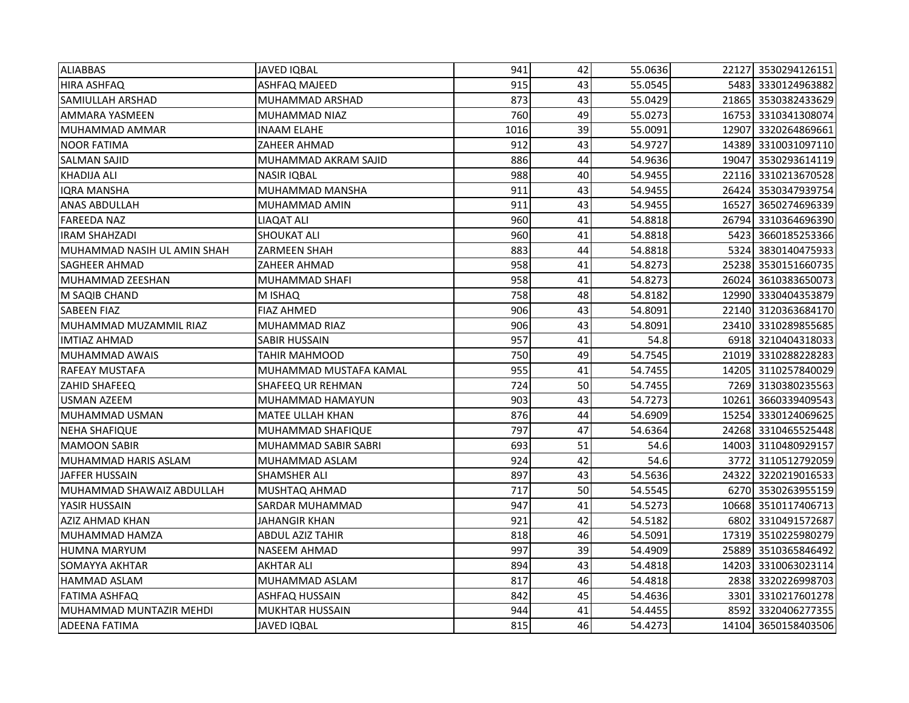| <b>ALIABBAS</b>             | <b>JAVED IQBAL</b>          | 941  | 42 | 55.0636 |       | 22127 3530294126151 |
|-----------------------------|-----------------------------|------|----|---------|-------|---------------------|
| <b>HIRA ASHFAQ</b>          | ASHFAQ MAJEED               | 915  | 43 | 55.0545 |       | 5483 3330124963882  |
| <b>SAMIULLAH ARSHAD</b>     | MUHAMMAD ARSHAD             | 873  | 43 | 55.0429 |       | 21865 3530382433629 |
| <b>AMMARA YASMEEN</b>       | <b>MUHAMMAD NIAZ</b>        | 760  | 49 | 55.0273 |       | 16753 3310341308074 |
| MUHAMMAD AMMAR              | <b>INAAM ELAHE</b>          | 1016 | 39 | 55.0091 | 12907 | 3320264869661       |
| <b>NOOR FATIMA</b>          | ZAHEER AHMAD                | 912  | 43 | 54.9727 |       | 14389 3310031097110 |
| <b>SALMAN SAJID</b>         | MUHAMMAD AKRAM SAJID        | 886  | 44 | 54.9636 |       | 19047 3530293614119 |
| <b>KHADIJA ALI</b>          | <b>NASIR IQBAL</b>          | 988  | 40 | 54.9455 |       | 22116 3310213670528 |
| <b>IQRA MANSHA</b>          | MUHAMMAD MANSHA             | 911  | 43 | 54.9455 |       | 26424 3530347939754 |
| <b>ANAS ABDULLAH</b>        | MUHAMMAD AMIN               | 911  | 43 | 54.9455 | 16527 | 3650274696339       |
| <b>FAREEDA NAZ</b>          | LIAQAT ALI                  | 960  | 41 | 54.8818 |       | 26794 3310364696390 |
| <b>IRAM SHAHZADI</b>        | SHOUKAT ALI                 | 960  | 41 | 54.8818 | 5423  | 3660185253366       |
| MUHAMMAD NASIH UL AMIN SHAH | ZARMEEN SHAH                | 883  | 44 | 54.8818 |       | 5324 3830140475933  |
| <b>SAGHEER AHMAD</b>        | ZAHEER AHMAD                | 958  | 41 | 54.8273 |       | 25238 3530151660735 |
| MUHAMMAD ZEESHAN            | MUHAMMAD SHAFI              | 958  | 41 | 54.8273 | 26024 | 3610383650073       |
| M SAQIB CHAND               | M ISHAQ                     | 758  | 48 | 54.8182 |       | 12990 3330404353879 |
| <b>SABEEN FIAZ</b>          | <b>FIAZ AHMED</b>           | 906  | 43 | 54.8091 |       | 22140 3120363684170 |
| MUHAMMAD MUZAMMIL RIAZ      | <b>MUHAMMAD RIAZ</b>        | 906  | 43 | 54.8091 |       | 23410 3310289855685 |
| <b>IMTIAZ AHMAD</b>         | SABIR HUSSAIN               | 957  | 41 | 54.8    |       | 6918 3210404318033  |
| <b>MUHAMMAD AWAIS</b>       | TAHIR MAHMOOD               | 750  | 49 | 54.7545 |       | 21019 3310288228283 |
| <b>RAFEAY MUSTAFA</b>       | MUHAMMAD MUSTAFA KAMAL      | 955  | 41 | 54.7455 |       | 14205 3110257840029 |
| <b>ZAHID SHAFEEQ</b>        | SHAFEEQ UR REHMAN           | 724  | 50 | 54.7455 |       | 7269 3130380235563  |
| USMAN AZEEM                 | MUHAMMAD HAMAYUN            | 903  | 43 | 54.7273 | 10261 | 3660339409543       |
| MUHAMMAD USMAN              | <b>MATEE ULLAH KHAN</b>     | 876  | 44 | 54.6909 |       | 15254 3330124069625 |
| <b>NEHA SHAFIQUE</b>        | MUHAMMAD SHAFIQUE           | 797  | 47 | 54.6364 |       | 24268 3310465525448 |
| <b>MAMOON SABIR</b>         | <b>MUHAMMAD SABIR SABRI</b> | 693  | 51 | 54.6    |       | 14003 3110480929157 |
| MUHAMMAD HARIS ASLAM        | MUHAMMAD ASLAM              | 924  | 42 | 54.6    |       | 3772 3110512792059  |
| <b>JAFFER HUSSAIN</b>       | SHAMSHER ALI                | 897  | 43 | 54.5636 | 24322 | 3220219016533       |
| MUHAMMAD SHAWAIZ ABDULLAH   | MUSHTAQ AHMAD               | 717  | 50 | 54.5545 |       | 6270 3530263955159  |
| YASIR HUSSAIN               | SARDAR MUHAMMAD             | 947  | 41 | 54.5273 |       | 10668 3510117406713 |
| AZIZ AHMAD KHAN             | JAHANGIR KHAN               | 921  | 42 | 54.5182 | 6802  | 3310491572687       |
| MUHAMMAD HAMZA              | <b>ABDUL AZIZ TAHIR</b>     | 818  | 46 | 54.5091 |       | 17319 3510225980279 |
| <b>HUMNA MARYUM</b>         | <b>NASEEM AHMAD</b>         | 997  | 39 | 54.4909 | 25889 | 3510365846492       |
| SOMAYYA AKHTAR              | AKHTAR ALI                  | 894  | 43 | 54.4818 | 14203 | 3310063023114       |
| <b>HAMMAD ASLAM</b>         | MUHAMMAD ASLAM              | 817  | 46 | 54.4818 |       | 2838 3320226998703  |
| <b>FATIMA ASHFAQ</b>        | <b>ASHFAQ HUSSAIN</b>       | 842  | 45 | 54.4636 |       | 3301 3310217601278  |
| MUHAMMAD MUNTAZIR MEHDI     | <b>MUKHTAR HUSSAIN</b>      | 944  | 41 | 54.4455 | 8592  | 3320406277355       |
| <b>ADEENA FATIMA</b>        | JAVED IQBAL                 | 815  | 46 | 54.4273 |       | 14104 3650158403506 |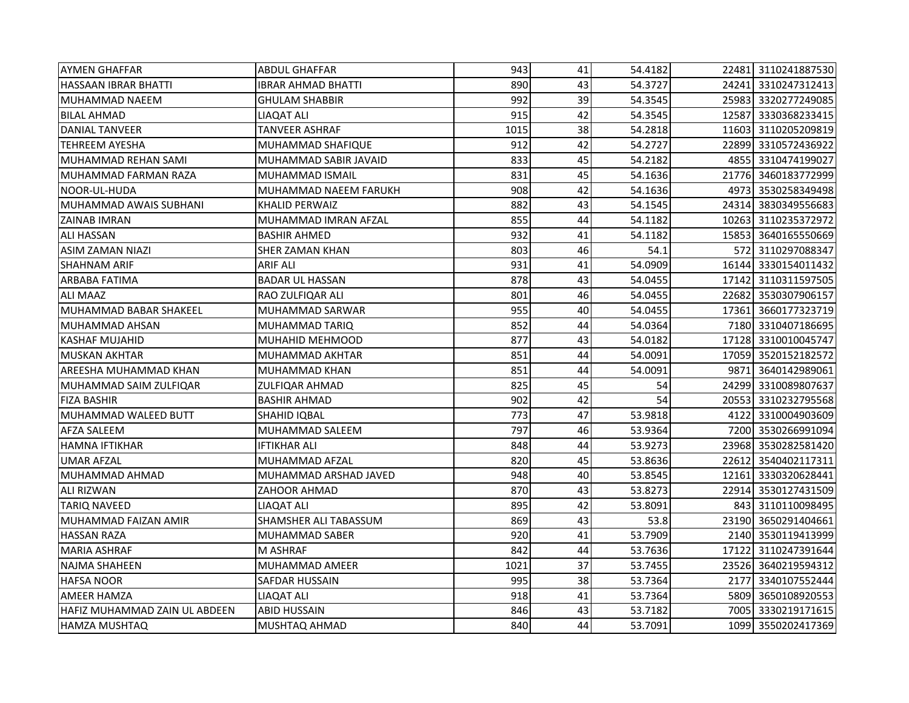| <b>AYMEN GHAFFAR</b>          | <b>ABDUL GHAFFAR</b>   | 943  | 41 | 54.4182 |      | 22481 3110241887530 |
|-------------------------------|------------------------|------|----|---------|------|---------------------|
| <b>HASSAAN IBRAR BHATTI</b>   | IBRAR AHMAD BHATTI     | 890  | 43 | 54.3727 |      | 24241 3310247312413 |
| MUHAMMAD NAEEM                | <b>GHULAM SHABBIR</b>  | 992  | 39 | 54.3545 |      | 25983 3320277249085 |
| <b>BILAL AHMAD</b>            | LIAQAT ALI             | 915  | 42 | 54.3545 |      | 12587 3330368233415 |
| DANIAL TANVEER                | TANVEER ASHRAF         | 1015 | 38 | 54.2818 |      | 11603 3110205209819 |
| <b>TEHREEM AYESHA</b>         | MUHAMMAD SHAFIQUE      | 912  | 42 | 54.2727 |      | 22899 3310572436922 |
| MUHAMMAD REHAN SAMI           | MUHAMMAD SABIR JAVAID  | 833  | 45 | 54.2182 |      | 4855 3310474199027  |
| MUHAMMAD FARMAN RAZA          | <b>MUHAMMAD ISMAIL</b> | 831  | 45 | 54.1636 |      | 21776 3460183772999 |
| NOOR-UL-HUDA                  | MUHAMMAD NAEEM FARUKH  | 908  | 42 | 54.1636 |      | 4973 3530258349498  |
| MUHAMMAD AWAIS SUBHANI        | <b>KHALID PERWAIZ</b>  | 882  | 43 | 54.1545 |      | 24314 3830349556683 |
| <b>ZAINAB IMRAN</b>           | MUHAMMAD IMRAN AFZAL   | 855  | 44 | 54.1182 |      | 10263 3110235372972 |
| <b>ALI HASSAN</b>             | <b>BASHIR AHMED</b>    | 932  | 41 | 54.1182 |      | 15853 3640165550669 |
| <b>ASIM ZAMAN NIAZI</b>       | <b>SHER ZAMAN KHAN</b> | 803  | 46 | 54.1    |      | 572 3110297088347   |
| <b>SHAHNAM ARIF</b>           | <b>ARIF ALI</b>        | 931  | 41 | 54.0909 |      | 16144 3330154011432 |
| ARBABA FATIMA                 | <b>BADAR UL HASSAN</b> | 878  | 43 | 54.0455 |      | 17142 3110311597505 |
| <b>ALI MAAZ</b>               | RAO ZULFIQAR ALI       | 801  | 46 | 54.0455 |      | 22682 3530307906157 |
| MUHAMMAD BABAR SHAKEEL        | MUHAMMAD SARWAR        | 955  | 40 | 54.0455 |      | 17361 3660177323719 |
| <b>MUHAMMAD AHSAN</b>         | MUHAMMAD TARIQ         | 852  | 44 | 54.0364 |      | 7180 3310407186695  |
| <b>KASHAF MUJAHID</b>         | <b>MUHAHID MEHMOOD</b> | 877  | 43 | 54.0182 |      | 17128 3310010045747 |
| <b>MUSKAN AKHTAR</b>          | MUHAMMAD AKHTAR        | 851  | 44 | 54.0091 |      | 17059 3520152182572 |
| AREESHA MUHAMMAD KHAN         | MUHAMMAD KHAN          | 851  | 44 | 54.0091 | 9871 | 3640142989061       |
| MUHAMMAD SAIM ZULFIQAR        | ZULFIQAR AHMAD         | 825  | 45 | 54      |      | 24299 3310089807637 |
| <b>FIZA BASHIR</b>            | <b>BASHIR AHMAD</b>    | 902  | 42 | 54      |      | 20553 3310232795568 |
| MUHAMMAD WALEED BUTT          | SHAHID IQBAL           | 773  | 47 | 53.9818 | 4122 | 3310004903609       |
| <b>AFZA SALEEM</b>            | MUHAMMAD SALEEM        | 797  | 46 | 53.9364 |      | 7200 3530266991094  |
| <b>HAMNA IFTIKHAR</b>         | IFTIKHAR ALI           | 848  | 44 | 53.9273 |      | 23968 3530282581420 |
| <b>UMAR AFZAL</b>             | MUHAMMAD AFZAL         | 820  | 45 | 53.8636 |      | 22612 3540402117311 |
| MUHAMMAD AHMAD                | MUHAMMAD ARSHAD JAVED  | 948  | 40 | 53.8545 |      | 12161 3330320628441 |
| <b>ALI RIZWAN</b>             | ZAHOOR AHMAD           | 870  | 43 | 53.8273 |      | 22914 3530127431509 |
| <b>TARIQ NAVEED</b>           | LIAQAT ALI             | 895  | 42 | 53.8091 |      | 843 3110110098495   |
| MUHAMMAD FAIZAN AMIR          | SHAMSHER ALI TABASSUM  | 869  | 43 | 53.8    |      | 23190 3650291404661 |
| <b>HASSAN RAZA</b>            | <b>MUHAMMAD SABER</b>  | 920  | 41 | 53.7909 |      | 2140 3530119413999  |
| <b>MARIA ASHRAF</b>           | <b>M ASHRAF</b>        | 842  | 44 | 53.7636 |      | 17122 3110247391644 |
| NAJMA SHAHEEN                 | <b>MUHAMMAD AMEER</b>  | 1021 | 37 | 53.7455 |      | 23526 3640219594312 |
| <b>HAFSA NOOR</b>             | SAFDAR HUSSAIN         | 995  | 38 | 53.7364 |      | 2177 3340107552444  |
| <b>AMEER HAMZA</b>            | <b>LIAQAT ALI</b>      | 918  | 41 | 53.7364 |      | 5809 3650108920553  |
| HAFIZ MUHAMMAD ZAIN UL ABDEEN | <b>ABID HUSSAIN</b>    | 846  | 43 | 53.7182 |      | 7005 3330219171615  |
| <b>HAMZA MUSHTAQ</b>          | MUSHTAQ AHMAD          | 840  | 44 | 53.7091 |      | 1099 3550202417369  |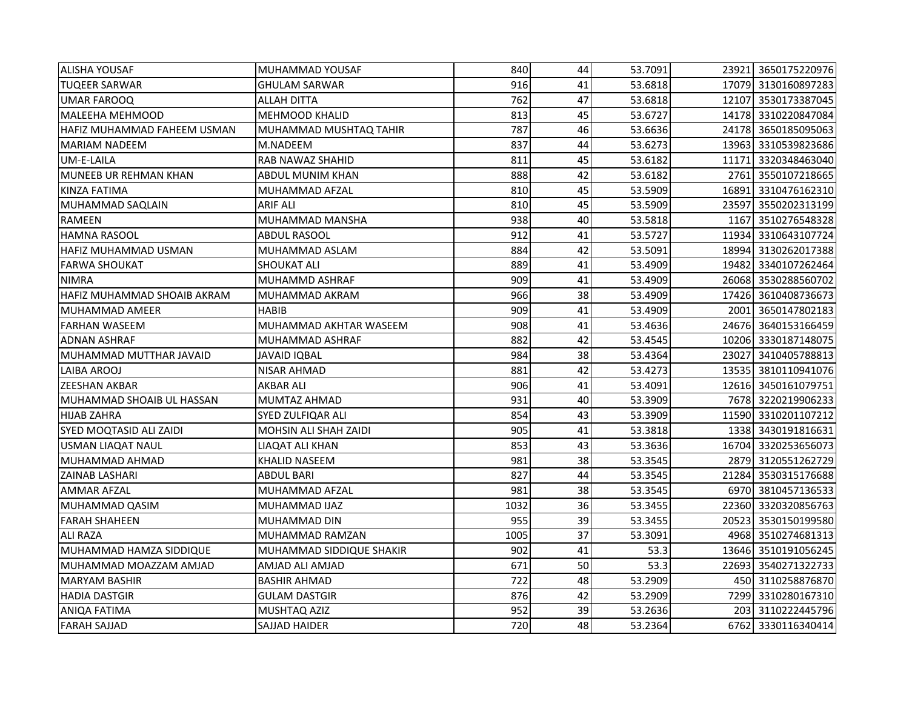| <b>ALISHA YOUSAF</b>         | MUHAMMAD YOUSAF          | 840  | 44 | 53.7091 |       | 23921 3650175220976 |
|------------------------------|--------------------------|------|----|---------|-------|---------------------|
| <b>TUQEER SARWAR</b>         | <b>GHULAM SARWAR</b>     | 916  | 41 | 53.6818 |       | 17079 3130160897283 |
| <b>UMAR FAROOQ</b>           | <b>ALLAH DITTA</b>       | 762  | 47 | 53.6818 |       | 12107 3530173387045 |
| MALEEHA MEHMOOD              | <b>MEHMOOD KHALID</b>    | 813  | 45 | 53.6727 |       | 14178 3310220847084 |
| HAFIZ MUHAMMAD FAHEEM USMAN  | MUHAMMAD MUSHTAQ TAHIR   | 787  | 46 | 53.6636 |       | 24178 3650185095063 |
| <b>MARIAM NADEEM</b>         | M.NADEEM                 | 837  | 44 | 53.6273 |       | 13963 3310539823686 |
| UM-E-LAILA                   | RAB NAWAZ SHAHID         | 811  | 45 | 53.6182 |       | 11171 3320348463040 |
| <b>MUNEEB UR REHMAN KHAN</b> | ABDUL MUNIM KHAN         | 888  | 42 | 53.6182 |       | 2761 3550107218665  |
| KINZA FATIMA                 | MUHAMMAD AFZAL           | 810  | 45 | 53.5909 |       | 16891 3310476162310 |
| MUHAMMAD SAQLAIN             | <b>ARIF ALI</b>          | 810  | 45 | 53.5909 |       | 23597 3550202313199 |
| RAMEEN                       | MUHAMMAD MANSHA          | 938  | 40 | 53.5818 |       | 1167 3510276548328  |
| <b>HAMNA RASOOL</b>          | <b>ABDUL RASOOL</b>      | 912  | 41 | 53.5727 |       | 11934 3310643107724 |
| HAFIZ MUHAMMAD USMAN         | MUHAMMAD ASLAM           | 884  | 42 | 53.5091 |       | 18994 3130262017388 |
| <b>FARWA SHOUKAT</b>         | <b>SHOUKAT ALI</b>       | 889  | 41 | 53.4909 |       | 19482 3340107262464 |
| <b>NIMRA</b>                 | MUHAMMD ASHRAF           | 909  | 41 | 53.4909 |       | 26068 3530288560702 |
| HAFIZ MUHAMMAD SHOAIB AKRAM  | MUHAMMAD AKRAM           | 966  | 38 | 53.4909 |       | 17426 3610408736673 |
| MUHAMMAD AMEER               | HABIB                    | 909  | 41 | 53.4909 |       | 2001 3650147802183  |
| <b>FARHAN WASEEM</b>         | MUHAMMAD AKHTAR WASEEM   | 908  | 41 | 53.4636 |       | 24676 3640153166459 |
| <b>ADNAN ASHRAF</b>          | MUHAMMAD ASHRAF          | 882  | 42 | 53.4545 |       | 10206 3330187148075 |
| MUHAMMAD MUTTHAR JAVAID      | JAVAID IQBAL             | 984  | 38 | 53.4364 | 23027 | 3410405788813       |
| LAIBA AROOJ                  | NISAR AHMAD              | 881  | 42 | 53.4273 |       | 13535 3810110941076 |
| <b>ZEESHAN AKBAR</b>         | AKBAR ALI                | 906  | 41 | 53.4091 |       | 12616 3450161079751 |
| MUHAMMAD SHOAIB UL HASSAN    | MUMTAZ AHMAD             | 931  | 40 | 53.3909 |       | 7678 3220219906233  |
| <b>HIJAB ZAHRA</b>           | SYED ZULFIQAR ALI        | 854  | 43 | 53.3909 |       | 11590 3310201107212 |
| SYED MOQTASID ALI ZAIDI      | MOHSIN ALI SHAH ZAIDI    | 905  | 41 | 53.3818 |       | 1338 3430191816631  |
| <b>USMAN LIAQAT NAUL</b>     | LIAQAT ALI KHAN          | 853  | 43 | 53.3636 |       | 16704 3320253656073 |
| MUHAMMAD AHMAD               | KHALID NASEEM            | 981  | 38 | 53.3545 |       | 2879 3120551262729  |
| ZAINAB LASHARI               | ABDUL BARI               | 827  | 44 | 53.3545 |       | 21284 3530315176688 |
| <b>AMMAR AFZAL</b>           | MUHAMMAD AFZAL           | 981  | 38 | 53.3545 |       | 6970 3810457136533  |
| MUHAMMAD QASIM               | MUHAMMAD IJAZ            | 1032 | 36 | 53.3455 |       | 22360 3320320856763 |
| <b>FARAH SHAHEEN</b>         | MUHAMMAD DIN             | 955  | 39 | 53.3455 |       | 20523 3530150199580 |
| <b>ALI RAZA</b>              | MUHAMMAD RAMZAN          | 1005 | 37 | 53.3091 |       | 4968 3510274681313  |
| MUHAMMAD HAMZA SIDDIQUE      | MUHAMMAD SIDDIQUE SHAKIR | 902  | 41 | 53.3    |       | 13646 3510191056245 |
| MUHAMMAD MOAZZAM AMJAD       | AMJAD ALI AMJAD          | 671  | 50 | 53.3    |       | 22693 3540271322733 |
| <b>MARYAM BASHIR</b>         | <b>BASHIR AHMAD</b>      | 722  | 48 | 53.2909 |       | 450 3110258876870   |
| <b>HADIA DASTGIR</b>         | <b>GULAM DASTGIR</b>     | 876  | 42 | 53.2909 |       | 7299 3310280167310  |
| <b>ANIQA FATIMA</b>          | MUSHTAQ AZIZ             | 952  | 39 | 53.2636 |       | 203 3110222445796   |
| <b>FARAH SAJJAD</b>          | <b>SAJJAD HAIDER</b>     | 720  | 48 | 53.2364 |       | 6762 3330116340414  |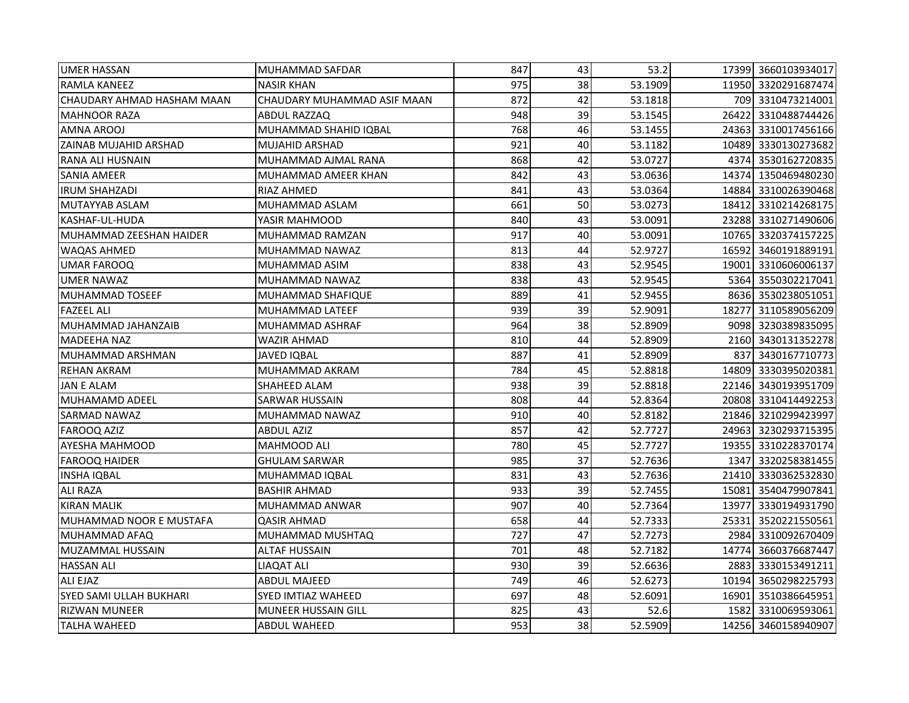| <b>UMER HASSAN</b>           | MUHAMMAD SAFDAR             | 847 | 43 | 53.2    |       | 17399 3660103934017 |
|------------------------------|-----------------------------|-----|----|---------|-------|---------------------|
| <b>RAMLA KANEEZ</b>          | <b>NASIR KHAN</b>           | 975 | 38 | 53.1909 |       | 11950 3320291687474 |
| CHAUDARY AHMAD HASHAM MAAN   | CHAUDARY MUHAMMAD ASIF MAAN | 872 | 42 | 53.1818 |       | 709 3310473214001   |
| <b>MAHNOOR RAZA</b>          | ABDUL RAZZAQ                | 948 | 39 | 53.1545 |       | 26422 3310488744426 |
| AMNA AROOJ                   | MUHAMMAD SHAHID IQBAL       | 768 | 46 | 53.1455 |       | 24363 3310017456166 |
| <b>ZAINAB MUJAHID ARSHAD</b> | <b>MUJAHID ARSHAD</b>       | 921 | 40 | 53.1182 |       | 10489 3330130273682 |
| RANA ALI HUSNAIN             | MUHAMMAD AJMAL RANA         | 868 | 42 | 53.0727 |       | 4374 3530162720835  |
| <b>SANIA AMEER</b>           | MUHAMMAD AMEER KHAN         | 842 | 43 | 53.0636 |       | 14374 1350469480230 |
| <b>IRUM SHAHZADI</b>         | RIAZ AHMED                  | 841 | 43 | 53.0364 |       | 14884 3310026390468 |
| MUTAYYAB ASLAM               | MUHAMMAD ASLAM              | 661 | 50 | 53.0273 |       | 18412 3310214268175 |
| KASHAF-UL-HUDA               | YASIR MAHMOOD               | 840 | 43 | 53.0091 |       | 23288 3310271490606 |
| MUHAMMAD ZEESHAN HAIDER      | MUHAMMAD RAMZAN             | 917 | 40 | 53.0091 |       | 10765 3320374157225 |
| <b>WAQAS AHMED</b>           | MUHAMMAD NAWAZ              | 813 | 44 | 52.9727 | 16592 | 3460191889191       |
| <b>UMAR FAROOQ</b>           | MUHAMMAD ASIM               | 838 | 43 | 52.9545 | 19001 | 3310606006137       |
| <b>UMER NAWAZ</b>            | MUHAMMAD NAWAZ              | 838 | 43 | 52.9545 |       | 5364 3550302217041  |
| <b>MUHAMMAD TOSEEF</b>       | MUHAMMAD SHAFIQUE           | 889 | 41 | 52.9455 |       | 8636 3530238051051  |
| <b>FAZEEL ALI</b>            | MUHAMMAD LATEEF             | 939 | 39 | 52.9091 | 18277 | 3110589056209       |
| MUHAMMAD JAHANZAIB           | MUHAMMAD ASHRAF             | 964 | 38 | 52.8909 |       | 9098 3230389835095  |
| <b>MADEEHA NAZ</b>           | WAZIR AHMAD                 | 810 | 44 | 52.8909 |       | 2160 3430131352278  |
| MUHAMMAD ARSHMAN             | JAVED IQBAL                 | 887 | 41 | 52.8909 | 837   | 3430167710773       |
| <b>REHAN AKRAM</b>           | MUHAMMAD AKRAM              | 784 | 45 | 52.8818 |       | 14809 3330395020381 |
| JAN E ALAM                   | SHAHEED ALAM                | 938 | 39 | 52.8818 |       | 22146 3430193951709 |
| MUHAMAMD ADEEL               | SARWAR HUSSAIN              | 808 | 44 | 52.8364 |       | 20808 3310414492253 |
| <b>SARMAD NAWAZ</b>          | MUHAMMAD NAWAZ              | 910 | 40 | 52.8182 |       | 21846 3210299423997 |
| <b>FAROOQ AZIZ</b>           | ABDUL AZIZ                  | 857 | 42 | 52.7727 |       | 24963 3230293715395 |
| AYESHA MAHMOOD               | MAHMOOD ALI                 | 780 | 45 | 52.7727 |       | 19355 3310228370174 |
| <b>FAROOQ HAIDER</b>         | <b>GHULAM SARWAR</b>        | 985 | 37 | 52.7636 |       | 1347 3320258381455  |
| <b>INSHA IQBAL</b>           | MUHAMMAD IQBAL              | 831 | 43 | 52.7636 |       | 21410 3330362532830 |
| <b>ALI RAZA</b>              | <b>BASHIR AHMAD</b>         | 933 | 39 | 52.7455 |       | 15081 3540479907841 |
| <b>KIRAN MALIK</b>           | MUHAMMAD ANWAR              | 907 | 40 | 52.7364 | 13977 | 3330194931790       |
| MUHAMMAD NOOR E MUSTAFA      | QASIR AHMAD                 | 658 | 44 | 52.7333 | 25331 | 3520221550561       |
| MUHAMMAD AFAQ                | MUHAMMAD MUSHTAQ            | 727 | 47 | 52.7273 |       | 2984 3310092670409  |
| MUZAMMAL HUSSAIN             | ALTAF HUSSAIN               | 701 | 48 | 52.7182 | 14774 | 3660376687447       |
| <b>HASSAN ALI</b>            | LIAQAT ALI                  | 930 | 39 | 52.6636 |       | 2883 3330153491211  |
| ALI EJAZ                     | <b>ABDUL MAJEED</b>         | 749 | 46 | 52.6273 |       | 10194 3650298225793 |
| SYED SAMI ULLAH BUKHARI      | <b>SYED IMTIAZ WAHEED</b>   | 697 | 48 | 52.6091 |       | 16901 3510386645951 |
| <b>RIZWAN MUNEER</b>         | MUNEER HUSSAIN GILL         | 825 | 43 | 52.6    | 1582  | 3310069593061       |
| <b>TALHA WAHEED</b>          | <b>ABDUL WAHEED</b>         | 953 | 38 | 52.5909 |       | 14256 3460158940907 |